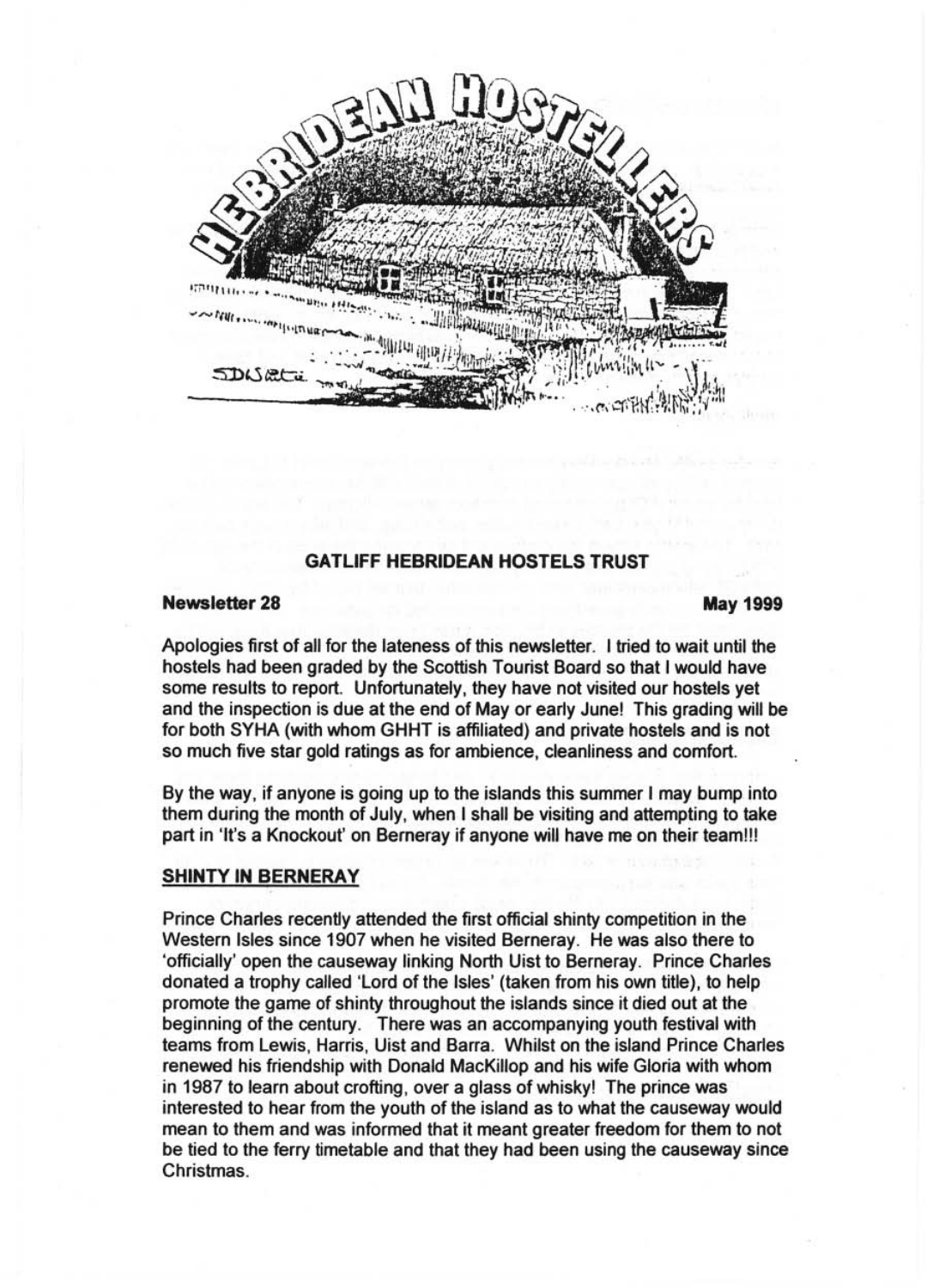

# **GATLIFF HEBRIDEAN HOSTELS TRUST**

#### **Newsletter 28 May 1999**

Apologies first of all for the lateness of this newsletter. I tried to wait until the hostels had been graded by the Scottish Tourist Board so that I would have some results to report. Unfortunately, they have not visited our hostels yet and the inspection is due at the end of Mayor early June! This grading will be for both SYHA (with whom GHHT is affiliated) and private hostels and is not so much five star gold ratings as for ambience, cleanliness and comfort.

By the way, if anyone is going up to the islands this summer I may bump into them during the month of July, when I shall be visiting and attempting to take part in 'It's a Knockout' on Berneray if anyone will have me on their team!!!

# **SHINTY IN BERNERAY**

Prince Charles recently attended the first official shinty competition in the Western Isles since 1907 when he visited Berneray. He was also there to 'officially' open the causeway linking North Uist to Berneray. Prince Charles donated a trophy called 'Lord of the Isles' (taken from his own title), to help promote the game of shinty throughout the islands since it died out at the beginning of the century. There was an accompanying youth festival with teams from Lewis, Harris, Uist and Barra. Whilst on the island Prince Charles renewed his friendship with Donald MacKiliop and his wife Gloria with whom in 1987 to learn about crofting, over a glass of whisky! The prince was interested to hear from the youth of the island as to what the causeway would mean to them and was informed that it meant greater freedom for them to not be tied to the ferry timetable and that they had been using the causeway since Christmas.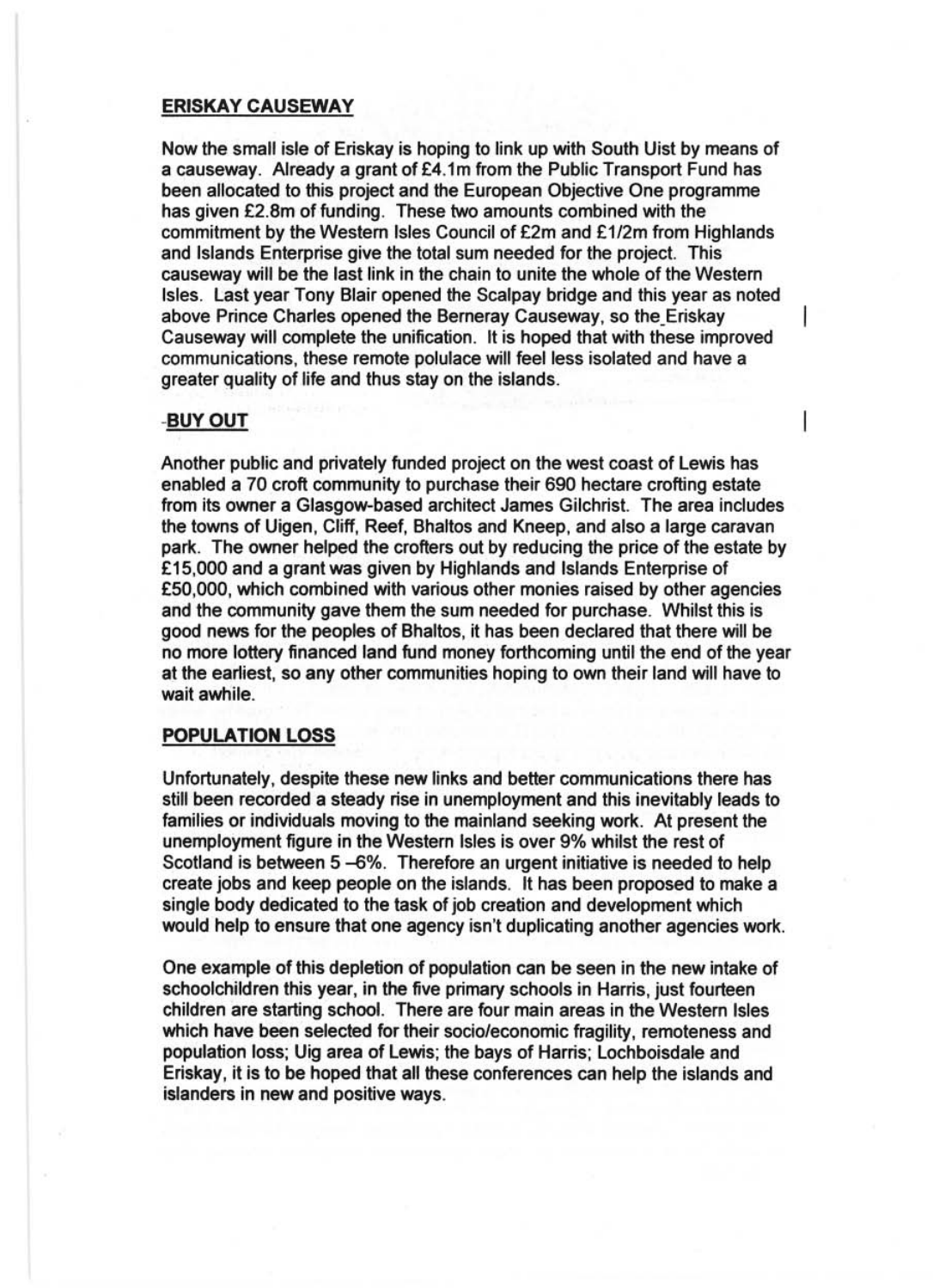#### **ERISKAY CAUSEWAY**

Now the small isle of Eriskay is hoping to link up with South Uist by means of a causeway. Already a grant of £4.1m from the Public Transport Fund has been allocated to this project and the European Objective One programme has given £2.8m of funding. These two amounts combined with the commitment by the Westem Isles Council of £2m and £1/2m from Highlands and Islands Enterprise give the total sum needed for the project. This causeway will be the last link in the chain to unite the whole of the Western Isles. Last year Tony Blair opened the Scalpay bridge and this year as noted above Prince Charles opened the Berneray Causeway, so the\_Eriskay Causeway will complete the unification. It is hoped that with these improved communications, these remote polulace will feel less isolated and have a greater quality of life and thus stay on the islands.

## -BUYOUT

Another public and privately funded project on the west coast of Lewis has enabled a 70 croft community to purchase their 690 hectare crofting estate from its owner a Glasgow-based architect James Gilchrist. The area includes the towns of Uigen, Cliff, Reef, Bhaltos and Kneep, and also a large caravan park. The owner helped the crofters out by reducing the price of the estate by £15,000 and a grant was given by Highlands and Islands Enterprise of £50,000, which combined with various other monies raised by other agencies and the community gave them the sum needed for purchase. Whilst this is good news for the peoples of Bhaltos, it has been declared that there will be no more lottery financed land fund money forthcoming until the end of the year at the earliest, so any other communities hoping to own their land will have to wait awhile.

## **POPULATION LOSS**

Unfortunately, despite these new links and better communications there has still been recorded a steady rise in unemployment and this inevitably leads to families or individuals moving to the mainland seeking work. At present the unemployment figure in the Western Isles is over 9% whilst the rest of Scotland is between 5-6%. Therefore an urgent initiative is needed to help create jobs and keep people on the islands. It has been proposed to make a single body dedicated to the task of job creation and development which would help to ensure that one agency isn't duplicating another agencies work.

One example of this depletion of population can be seen in the new intake of schoolchildren this year, in the five primary schools in Harris, just fourteen children are starting school. There are four main areas in the Western Isles which have been selected for their socio/economic fragility, remoteness and population loss; Uig area of Lewis; the bays of Harris; Lochboisdale and Eriskay, it is to be hoped that all these conferences can help the islands and islanders in new and positive ways.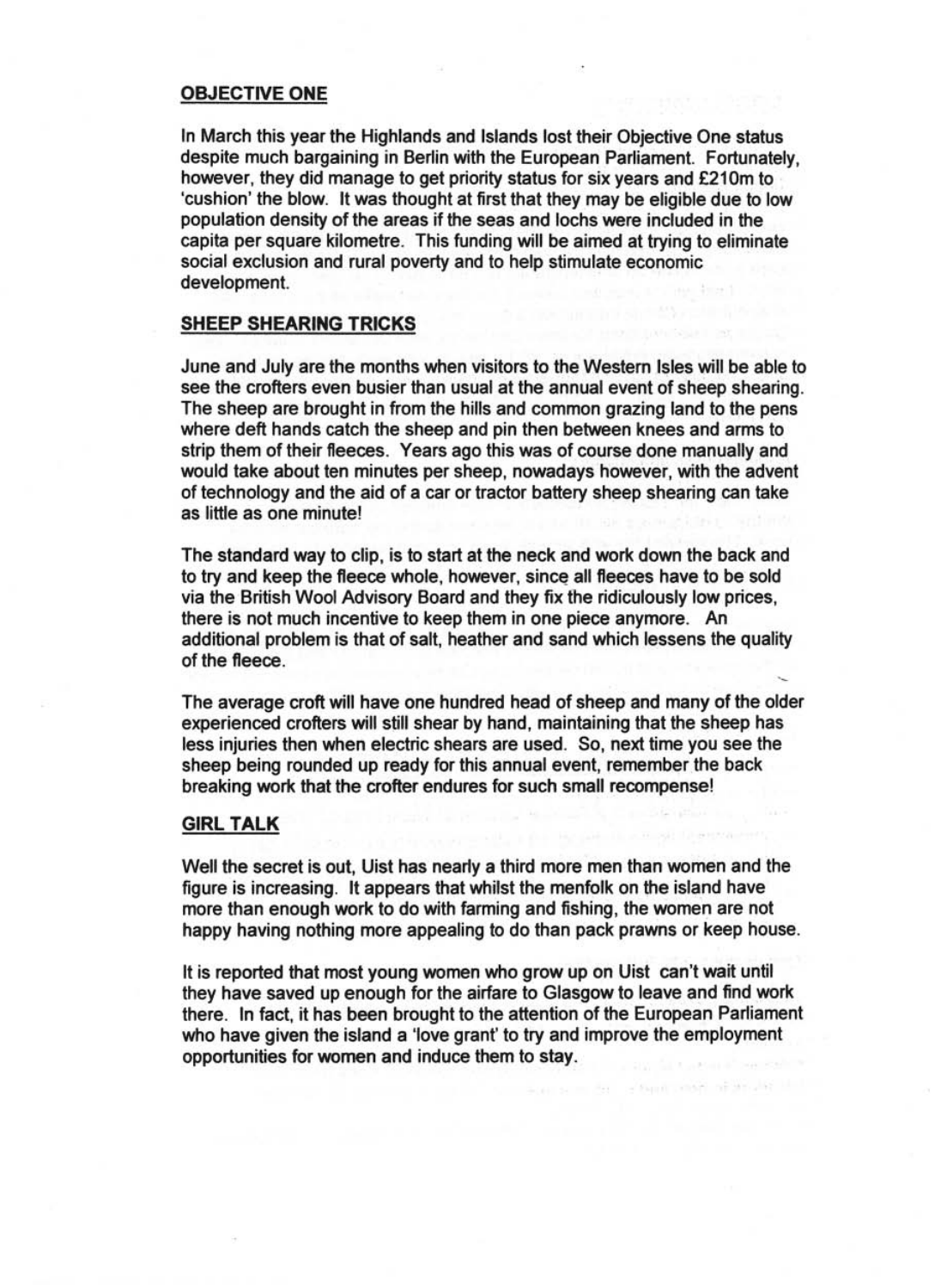#### OBJECTIVE ONE

In March this year the Highlands and Islands lost their Objective One status despite much bargaining in Berlin with the European Parliament. Fortunately, however, they did manage to get priority status for six years and £210m to 'cushion' the blow. It was thought at first that they may be eligible due to low population density of the areas if the seas and lochs were included in the capita per square kilometre. This funding will be aimed at trying to eliminate social exclusion and rural poverty and to help stimulate economic development.

#### SHEEP SHEARING TRICKS

June and July are the months when visitors to the Western Isles will be able to see the crofters even busier than usual at the annual event of sheep shearing. The sheep are brought in from the hills and common grazing land to the pens where deft hands catch the sheep and pin then between knees and arms to strip them of their fleeces. Years ago this was of course done manually and would take about ten minutes per sheep, nowadays however, with the advent of technology and the aid of a car or tractor battery sheep shearing can take as little as one minute!

The standard way to clip, is to start at the neck and work down the back and to try and keep the fleece whole, however, since all fleeces have to be sold via the British Wool Advisory Board and they fix the ridiculously low prices, there is not much incentive to keep them in one piece anymore. An additional problem is that of salt, heather and sand which lessens the quality of the fleece.

The average croft will have one hundred head of sheep and many of the older experienced crofters will still shear by hand, maintaining that the sheep has less injuries then when electric shears are used. So, next time you see the sheep being rounded up ready for this annual event, remember the back breaking work that the crofter endures for such small recompense!

#### GIRL TALK

Well the secret is out, Uist has nearly a third more men than women and the figure is increasing. It appears that whilst the menfolk on the island have more than enough work to do with farming and fishing, the women are not happy having nothing more appealing to do than pack prawns or keep house.

It is reported that most young women who grow up on Uist can't wait until they have saved up enough for the airfare to Glasgow to leave and find work there. In fact, it has been brought to the attention of the European Parliament who have given the island a 'love grant' to try and improve the employment opportunities for women and induce them to stay.